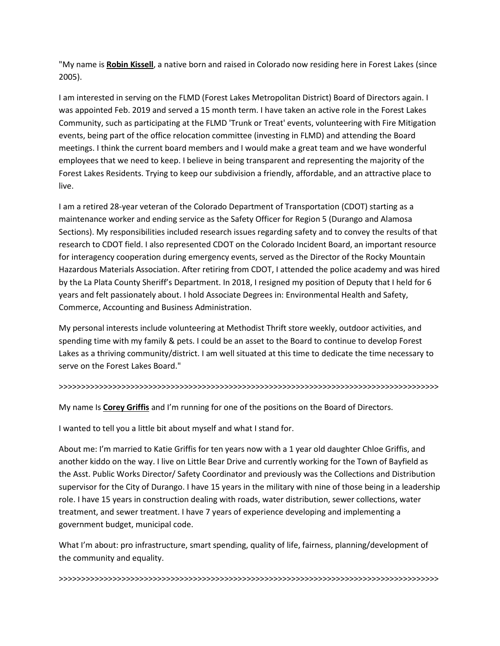"My name is **Robin Kissell**, a native born and raised in Colorado now residing here in Forest Lakes (since 2005).

I am interested in serving on the FLMD (Forest Lakes Metropolitan District) Board of Directors again. I was appointed Feb. 2019 and served a 15 month term. I have taken an active role in the Forest Lakes Community, such as participating at the FLMD 'Trunk or Treat' events, volunteering with Fire Mitigation events, being part of the office relocation committee (investing in FLMD) and attending the Board meetings. I think the current board members and I would make a great team and we have wonderful employees that we need to keep. I believe in being transparent and representing the majority of the Forest Lakes Residents. Trying to keep our subdivision a friendly, affordable, and an attractive place to live.

I am a retired 28-year veteran of the Colorado Department of Transportation (CDOT) starting as a maintenance worker and ending service as the Safety Officer for Region 5 (Durango and Alamosa Sections). My responsibilities included research issues regarding safety and to convey the results of that research to CDOT field. I also represented CDOT on the Colorado Incident Board, an important resource for interagency cooperation during emergency events, served as the Director of the Rocky Mountain Hazardous Materials Association. After retiring from CDOT, I attended the police academy and was hired by the La Plata County Sheriff's Department. In 2018, I resigned my position of Deputy that I held for 6 years and felt passionately about. I hold Associate Degrees in: Environmental Health and Safety, Commerce, Accounting and Business Administration.

My personal interests include volunteering at Methodist Thrift store weekly, outdoor activities, and spending time with my family & pets. I could be an asset to the Board to continue to develop Forest Lakes as a thriving community/district. I am well situated at this time to dedicate the time necessary to serve on the Forest Lakes Board."

#### >>>>>>>>>>>>>>>>>>>>>>>>>>>>>>>>>>>>>>>>>>>>>>>>>>>>>>>>>>>>>>>>>>>>>>>>>>>>>>>>>>>>>

My name Is **Corey Griffis** and I'm running for one of the positions on the Board of Directors.

I wanted to tell you a little bit about myself and what I stand for.

About me: I'm married to Katie Griffis for ten years now with a 1 year old daughter Chloe Griffis, and another kiddo on the way. I live on Little Bear Drive and currently working for the Town of Bayfield as the Asst. Public Works Director/ Safety Coordinator and previously was the Collections and Distribution supervisor for the City of Durango. I have 15 years in the military with nine of those being in a leadership role. I have 15 years in construction dealing with roads, water distribution, sewer collections, water treatment, and sewer treatment. I have 7 years of experience developing and implementing a government budget, municipal code.

What I'm about: pro infrastructure, smart spending, quality of life, fairness, planning/development of the community and equality.

>>>>>>>>>>>>>>>>>>>>>>>>>>>>>>>>>>>>>>>>>>>>>>>>>>>>>>>>>>>>>>>>>>>>>>>>>>>>>>>>>>>>>